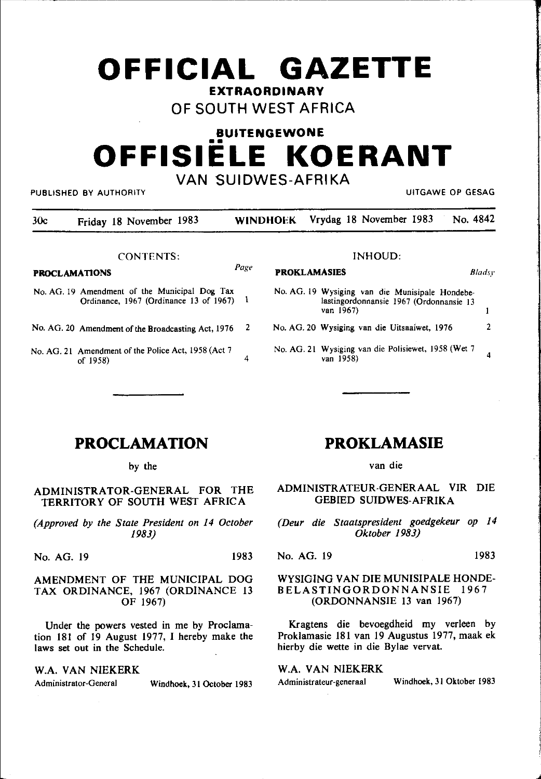# **OFFICIAL GAZETTE EXTRAORDINARY**

## OF SOUTH WEST AFRICA

## **BUITENGEWONE**  •• **OFFISIELE KOERANT**  VAN SUIDWES-AFRIKA

PUBLISHED BY AUTHORITY UITGAWE OP GESAG

30c Friday 18 November 1983 WINDHOEK Vrydag 18 November 1983 No. 4842

CONTENTS:

## PROCLAMATIONS *Page*

- No. AG. 19 Amendment of the Municipal Dog Tax Ordinance, 1967 (Ordinance 13 of 1967) I
- No. AG. 20 Amendment of the Broadcasting Act, 1976 2
- No. AG. 21 Amendment of the Police Act, 1958 (Act 7 of  $1958$ ) 4

#### lNHOUD:

**PROKLAMASIES** *Bladsy* 

No. AG. 19 Wysiging van die Munisipale Hondebelastingordonnansie 1967 (Ordonnansie 13 van 1967)  $\mathbf{I}$ 2 No. AG. 20 Wysiging van die Uitsaaiwet, 1976 No. AG. 21 Wysiging van die Polisiewet, 1958 (Wet 7 4 van 1958)

**PROCLAMATION** 

by the

#### ADMINISTRATOR-GENERAL FOR THE TERRITORY OF SOUTH WEST AFRICA

*(Approved by the State President on 14 October 1983)* 

No. AG. 19 1983

#### AMENDMENT OF THE MUNICIPAL DOG TAX ORDINANCE, 1967 (ORDINANCE 13 OF 1967)

Under the powers vested in me by Proclamation 181 of 19 August 1977, I hereby make the laws set out in the Schedule.

#### W.A. VAN NIEKERK

Administrator-General Windhoek, 31 October 1983

### **PROKLAMASIE**

van die

ADMINISTRATEUR-GENERAAL VIR DIE GEBIED SUIDWES-AFRIKA

*(Deur die Staatspresident goedgekeur op 14 Oktober 1983)* 

No. AG. 19 1983

#### WYSIGING VAN DIE MUNISIPALE HONDE-BELASTINGORDONNANSIE 1967 (ORDONNANSIE 13 van 1967)

Kragtens die bevoegdheid my verleen by Proklamasie 181 van 19 Augustus 1977, maak ek hierby die wette in die Bylae vervat.

W.A. VAN NIEKERK

Administrateur-generaal Windhoek, 31 Oktober 1983